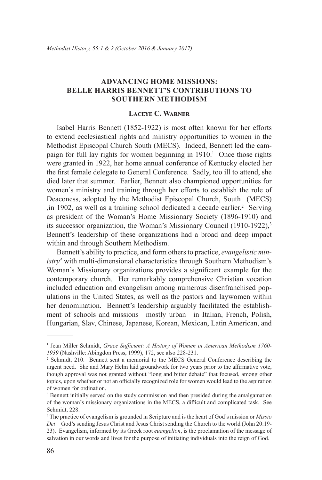# **Advancing Home Missions: Belle Harris Bennett's Contributions to Southern Methodism**

### **Laceye C. Warner**

Isabel Harris Bennett (1852-1922) is most often known for her efforts to extend ecclesiastical rights and ministry opportunities to women in the Methodist Episcopal Church South (MECS). Indeed, Bennett led the campaign for full lay rights for women beginning in  $1910<sup>1</sup>$  Once those rights were granted in 1922, her home annual conference of Kentucky elected her the first female delegate to General Conference. Sadly, too ill to attend, she died later that summer. Earlier, Bennett also championed opportunities for women's ministry and training through her efforts to establish the role of Deaconess, adopted by the Methodist Episcopal Church, South (MECS) ,in 1902, as well as a training school dedicated a decade earlier.<sup>2</sup> Serving as president of the Woman's Home Missionary Society (1896-1910) and its successor organization, the Woman's Missionary Council (1910-1922),<sup>3</sup> Bennett's leadership of these organizations had a broad and deep impact within and through Southern Methodism.

Bennett's ability to practice, and form others to practice, *evangelistic ministry4* with multi-dimensional characteristics through Southern Methodism's Woman's Missionary organizations provides a significant example for the contemporary church. Her remarkably comprehensive Christian vocation included education and evangelism among numerous disenfranchised populations in the United States, as well as the pastors and laywomen within her denomination. Bennett's leadership arguably facilitated the establishment of schools and missions—mostly urban—in Italian, French, Polish, Hungarian, Slav, Chinese, Japanese, Korean, Mexican, Latin American, and

<sup>&</sup>lt;sup>1</sup> Jean Miller Schmidt, *Grace Sufficient: A History of Women in American Methodism 1760-1939* (Nashville: Abingdon Press, 1999), 172, see also 228-231.

<sup>2</sup> Schmidt, 210. Bennett sent a memorial to the MECS General Conference describing the urgent need. She and Mary Helm laid groundwork for two years prior to the affirmative vote, though approval was not granted without "long and bitter debate" that focused, among other topics, upon whether or not an officially recognized role for women would lead to the aspiration of women for ordination.

<sup>&</sup>lt;sup>3</sup> Bennett initially served on the study commission and then presided during the amalgamation of the woman's missionary organizations in the MECS, a difficult and complicated task. See Schmidt, 228.

<sup>4</sup> The practice of evangelism is grounded in Scripture and is the heart of God's mission or *Missio Dei*—God's sending Jesus Christ and Jesus Christ sending the Church to the world (John 20:19- 23). Evangelism, informed by its Greek root *euangelion*, is the proclamation of the message of salvation in our words and lives for the purpose of initiating individuals into the reign of God.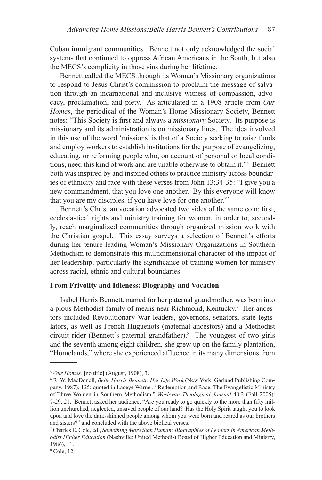Cuban immigrant communities. Bennett not only acknowledged the social systems that continued to oppress African Americans in the South, but also the MECS's complicity in those sins during her lifetime.

Bennett called the MECS through its Woman's Missionary organizations to respond to Jesus Christ's commission to proclaim the message of salvation through an incarnational and inclusive witness of compassion, advocacy, proclamation, and piety. As articulated in a 1908 article from *Our Homes*, the periodical of the Woman's Home Missionary Society, Bennett notes: "This Society is first and always a *missionary* Society. Its purpose is missionary and its administration is on missionary lines. The idea involved in this use of the word 'missions' is that of a Society seeking to raise funds and employ workers to establish institutions for the purpose of evangelizing, educating, or reforming people who, on account of personal or local conditions, need this kind of work and are unable otherwise to obtain it."5 Bennett both was inspired by and inspired others to practice ministry across boundaries of ethnicity and race with these verses from John 13:34-35: "I give you a new commandment, that you love one another. By this everyone will know that you are my disciples, if you have love for one another."<sup>6</sup>

Bennett's Christian vocation advocated two sides of the same coin: first, ecclesiastical rights and ministry training for women, in order to, secondly, reach marginalized communities through organized mission work with the Christian gospel. This essay surveys a selection of Bennett's efforts during her tenure leading Woman's Missionary Organizations in Southern Methodism to demonstrate this multidimensional character of the impact of her leadership, particularly the significance of training women for ministry across racial, ethnic and cultural boundaries.

### **From Frivolity and Idleness: Biography and Vocation**

Isabel Harris Bennett, named for her paternal grandmother, was born into a pious Methodist family of means near Richmond, Kentucky.<sup>7</sup> Her ancestors included Revolutionary War leaders, governors, senators, state legislators, as well as French Huguenots (maternal ancestors) and a Methodist circuit rider (Bennett's paternal grandfather).<sup>8</sup> The youngest of two girls and the seventh among eight children, she grew up on the family plantation, "Homelands," where she experienced affluence in its many dimensions from

<sup>5</sup> *Our Homes,* [no title] (August, 1908), 3.

<sup>6</sup> R. W. MacDonell, *Belle Harris Bennett: Her Life Work* (New York: Garland Publishing Company, 1987), 125; quoted in Laceye Warner, "Redemption and Race: The Evangelistic Ministry of Three Women in Southern Methodism," *Wesleyan Theological Journal* 40.2 (Fall 2005): 7-29, 21. Bennett asked her audience, "Are you ready to go quickly to the more than fifty million unchurched, neglected, unsaved people of our land? Has the Holy Spirit taught you to look upon and love the dark-skinned people among whom you were born and reared as our brothers and sisters?" and concluded with the above biblical verses.

<sup>7</sup> Charles E. Cole, ed., *Something More than Human: Biographies of Leaders in American Methodist Higher Education* (Nashville: United Methodist Board of Higher Education and Ministry, 1986), 11.

<sup>8</sup> Cole, 12.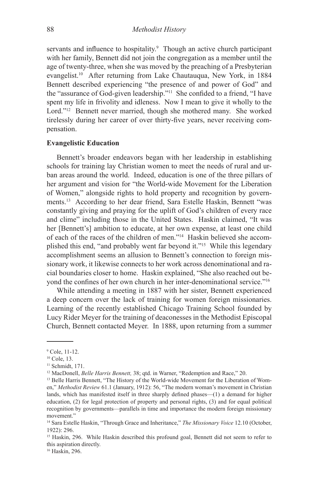servants and influence to hospitality.<sup>9</sup> Though an active church participant with her family, Bennett did not join the congregation as a member until the age of twenty-three, when she was moved by the preaching of a Presbyterian evangelist.<sup>10</sup> After returning from Lake Chautauqua, New York, in 1884 Bennett described experiencing "the presence of and power of God" and the "assurance of God-given leadership."<sup>11</sup> She confided to a friend, "I have spent my life in frivolity and idleness. Now I mean to give it wholly to the Lord."<sup>12</sup> Bennett never married, though she mothered many. She worked tirelessly during her career of over thirty-five years, never receiving compensation.

### **Evangelistic Education**

Bennett's broader endeavors began with her leadership in establishing schools for training lay Christian women to meet the needs of rural and urban areas around the world. Indeed, education is one of the three pillars of her argument and vision for "the World-wide Movement for the Liberation of Women," alongside rights to hold property and recognition by governments.13 According to her dear friend, Sara Estelle Haskin, Bennett "was constantly giving and praying for the uplift of God's children of every race and clime" including those in the United States. Haskin claimed, "It was her [Bennett's] ambition to educate, at her own expense, at least one child of each of the races of the children of men."14 Haskin believed she accomplished this end, "and probably went far beyond it."<sup>15</sup> While this legendary accomplishment seems an allusion to Bennett's connection to foreign missionary work, it likewise connects to her work across denominational and racial boundaries closer to home. Haskin explained, "She also reached out beyond the confines of her own church in her inter-denominational service."<sup>16</sup>

While attending a meeting in 1887 with her sister, Bennett experienced a deep concern over the lack of training for women foreign missionaries. Learning of the recently established Chicago Training School founded by Lucy Rider Meyer for the training of deaconesses in the Methodist Episcopal Church, Bennett contacted Meyer. In 1888, upon returning from a summer

16 Haskin, 296.

<sup>9</sup> Cole, 11-12.

<sup>&</sup>lt;sup>10</sup> Cole, 13.

<sup>&</sup>lt;sup>11</sup> Schmidt, 171.

<sup>&</sup>lt;sup>12</sup> MacDonell, *Belle Harris Bennett*, 38; qtd. in Warner, "Redemption and Race," 20.<br><sup>13</sup> Belle Harris Bennett, "The History of the World-wide Movement for the Liberation of Wom-

en," *Methodist Review* 61.1 (January, 1912): 56, "The modern woman's movement in Christian lands, which has manifested itself in three sharply defined phases—(1) a demand for higher education, (2) for legal protection of property and personal rights, (3) and for equal political recognition by governments—parallels in time and importance the modern foreign missionary movement."

<sup>14</sup> Sara Estelle Haskin, "Through Grace and Inheritance," *The Missionary Voice* 12.10 (October, 1922): 296.

<sup>&</sup>lt;sup>15</sup> Haskin, 296. While Haskin described this profound goal, Bennett did not seem to refer to this aspiration directly.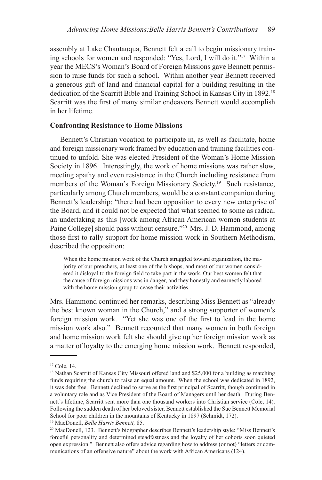assembly at Lake Chautauqua, Bennett felt a call to begin missionary training schools for women and responded: "Yes, Lord, I will do it."<sup>17</sup> Within a year the MECS's Woman's Board of Foreign Missions gave Bennett permission to raise funds for such a school. Within another year Bennett received a generous gift of land and financial capital for a building resulting in the dedication of the Scarritt Bible and Training School in Kansas City in 1892.18 Scarritt was the first of many similar endeavors Bennett would accomplish in her lifetime.

## **Confronting Resistance to Home Missions**

Bennett's Christian vocation to participate in, as well as facilitate, home and foreign missionary work framed by education and training facilities continued to unfold. She was elected President of the Woman's Home Mission Society in 1896. Interestingly, the work of home missions was rather slow, meeting apathy and even resistance in the Church including resistance from members of the Woman's Foreign Missionary Society.<sup>19</sup> Such resistance, particularly among Church members, would be a constant companion during Bennett's leadership: "there had been opposition to every new enterprise of the Board, and it could not be expected that what seemed to some as radical an undertaking as this [work among African American women students at Paine College] should pass without censure."<sup>20</sup> Mrs. J. D. Hammond, among those first to rally support for home mission work in Southern Methodism, described the opposition:

When the home mission work of the Church struggled toward organization, the majority of our preachers, at least one of the bishops, and most of our women considered it disloyal to the foreign field to take part in the work. Our best women felt that the cause of foreign missions was in danger, and they honestly and earnestly labored with the home mission group to cease their activities.

Mrs. Hammond continued her remarks, describing Miss Bennett as "already the best known woman in the Church," and a strong supporter of women's foreign mission work. "Yet she was one of the first to lead in the home mission work also." Bennett recounted that many women in both foreign and home mission work felt she should give up her foreign mission work as a matter of loyalty to the emerging home mission work. Bennett responded,

<sup>&</sup>lt;sup>17</sup> Cole, 14.

<sup>&</sup>lt;sup>18</sup> Nathan Scarritt of Kansas City Missouri offered land and \$25,000 for a building as matching funds requiring the church to raise an equal amount. When the school was dedicated in 1892, it was debt free. Bennett declined to serve as the first principal of Scarritt, though continued in a voluntary role and as Vice President of the Board of Managers until her death. During Bennett's lifetime, Scarritt sent more than one thousand workers into Christian service (Cole, 14). Following the sudden death of her beloved sister, Bennett established the Sue Bennett Memorial School for poor children in the mountains of Kentucky in 1897 (Schmidt, 172).

<sup>19</sup> MacDonell, *Belle Harris Bennett,* 85.

<sup>20</sup> MacDonell, 123. Bennett's biographer describes Bennett's leadership style: "Miss Bennett's forceful personality and determined steadfastness and the loyalty of her cohorts soon quieted open expression." Bennett also offers advice regarding how to address (or not) "letters or communications of an offensive nature" about the work with African Americans (124).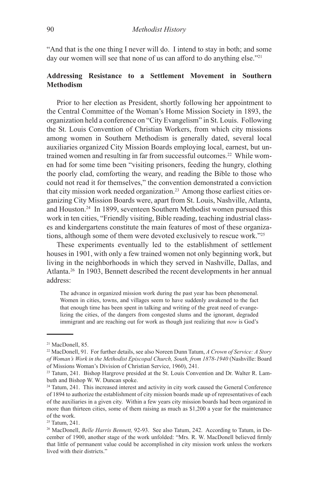"And that is the one thing I never will do. I intend to stay in both; and some day our women will see that none of us can afford to do anything else."<sup>21</sup>

# **Addressing Resistance to a Settlement Movement in Southern Methodism**

Prior to her election as President, shortly following her appointment to the Central Committee of the Woman's Home Mission Society in 1893, the organization held a conference on "City Evangelism" in St. Louis. Following the St. Louis Convention of Christian Workers, from which city missions among women in Southern Methodism is generally dated, several local auxiliaries organized City Mission Boards employing local, earnest, but untrained women and resulting in far from successful outcomes.22 While women had for some time been "visiting prisoners, feeding the hungry, clothing the poorly clad, comforting the weary, and reading the Bible to those who could not read it for themselves," the convention demonstrated a conviction that city mission work needed organization.<sup>23</sup> Among those earliest cities organizing City Mission Boards were, apart from St. Louis, Nashville, Atlanta, and Houston.24 In 1899, seventeen Southern Methodist women pursued this work in ten cities, "Friendly visiting, Bible reading, teaching industrial classes and kindergartens constitute the main features of most of these organizations, although some of them were devoted exclusively to rescue work."25

These experiments eventually led to the establishment of settlement houses in 1901, with only a few trained women not only beginning work, but living in the neighborhoods in which they served in Nashville, Dallas, and Atlanta.<sup>26</sup> In 1903, Bennett described the recent developments in her annual address:

The advance in organized mission work during the past year has been phenomenal. Women in cities, towns, and villages seem to have suddenly awakened to the fact that enough time has been spent in talking and writing of the great need of evangelizing the cities, of the dangers from congested slums and the ignorant, degraded immigrant and are reaching out for work as though just realizing that *now* is God's

<sup>21</sup> MacDonell, 85.

<sup>22</sup> MacDonell, 91. For further details, see also Noreen Dunn Tatum, *A Crown of Service: A Story of Woman's Work in the Methodist Episcopal Church, South, from 1878-1940* (Nashville: Board of Missions Woman's Division of Christian Service, 1960), 241.

<sup>23</sup> Tatum, 241. Bishop Hargrove presided at the St. Louis Convention and Dr. Walter R. Lambuth and Bishop W. W. Duncan spoke.

<sup>&</sup>lt;sup>24</sup> Tatum, 241. This increased interest and activity in city work caused the General Conference of 1894 to authorize the establishment of city mission boards made up of representatives of each of the auxiliaries in a given city. Within a few years city mission boards had been organized in more than thirteen cities, some of them raising as much as \$1,200 a year for the maintenance of the work.

<sup>&</sup>lt;sup>25</sup> Tatum, 241.

<sup>26</sup> MacDonell, *Belle Harris Bennett,* 92-93. See also Tatum, 242. According to Tatum, in December of 1900, another stage of the work unfolded: "Mrs. R. W. MacDonell believed firmly that little of permanent value could be accomplished in city mission work unless the workers lived with their districts."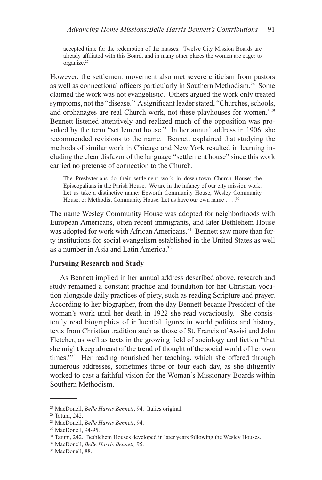accepted time for the redemption of the masses. Twelve City Mission Boards are already affiliated with this Board, and in many other places the women are eager to organize.<sup>27</sup>

However, the settlement movement also met severe criticism from pastors as well as connectional officers particularly in Southern Methodism.28 Some claimed the work was not evangelistic. Others argued the work only treated symptoms, not the "disease." A significant leader stated, "Churches, schools, and orphanages are real Church work, not these playhouses for women."29 Bennett listened attentively and realized much of the opposition was provoked by the term "settlement house." In her annual address in 1906, she recommended revisions to the name. Bennett explained that studying the methods of similar work in Chicago and New York resulted in learning including the clear disfavor of the language "settlement house" since this work carried no pretense of connection to the Church.

The Presbyterians do their settlement work in down-town Church House; the Episcopalians in the Parish House. We are in the infancy of our city mission work. Let us take a distinctive name: Epworth Community House, Wesley Community House, or Methodist Community House. Let us have our own name . . . .<sup>30</sup>

The name Wesley Community House was adopted for neighborhoods with European Americans, often recent immigrants, and later Bethlehem House was adopted for work with African Americans.<sup>31</sup> Bennett saw more than forty institutions for social evangelism established in the United States as well as a number in Asia and Latin America.32

## **Pursuing Research and Study**

As Bennett implied in her annual address described above, research and study remained a constant practice and foundation for her Christian vocation alongside daily practices of piety, such as reading Scripture and prayer. According to her biographer, from the day Bennett became President of the woman's work until her death in 1922 she read voraciously. She consistently read biographies of influential figures in world politics and history, texts from Christian tradition such as those of St. Francis of Assisi and John Fletcher, as well as texts in the growing field of sociology and fiction "that she might keep abreast of the trend of thought of the social world of her own times."<sup>33</sup> Her reading nourished her teaching, which she offered through numerous addresses, sometimes three or four each day, as she diligently worked to cast a faithful vision for the Woman's Missionary Boards within Southern Methodism.

<sup>27</sup> MacDonell, *Belle Harris Bennett*, 94. Italics original.

<sup>28</sup> Tatum, 242.

<sup>29</sup> MacDonell, *Belle Harris Bennett*, 94.

<sup>30</sup> MacDonell, 94-95.

<sup>&</sup>lt;sup>31</sup> Tatum, 242. Bethlehem Houses developed in later years following the Wesley Houses.

<sup>32</sup> MacDonell, *Belle Harris Bennett,* 95.

<sup>&</sup>lt;sup>33</sup> MacDonell, 88.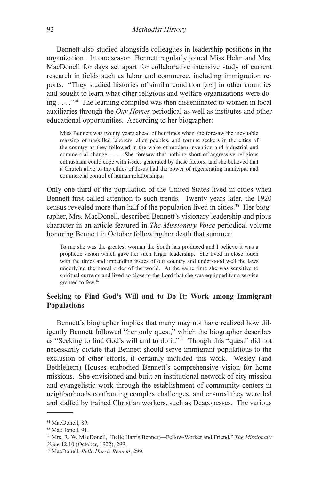Bennett also studied alongside colleagues in leadership positions in the organization. In one season, Bennett regularly joined Miss Helm and Mrs. MacDonell for days set apart for collaborative intensive study of current research in fields such as labor and commerce, including immigration reports. "They studied histories of similar condition [*sic*] in other countries and sought to learn what other religious and welfare organizations were doing . . . ."34 The learning compiled was then disseminated to women in local auxiliaries through the *Our Homes* periodical as well as institutes and other educational opportunities. According to her biographer:

Miss Bennett was twenty years ahead of her times when she foresaw the inevitable massing of unskilled laborers, alien peoples, and fortune seekers in the cities of the country as they followed in the wake of modern invention and industrial and commercial change . . . . She foresaw that nothing short of aggressive religious enthusiasm could cope with issues generated by these factors, and she believed that a Church alive to the ethics of Jesus had the power of regenerating municipal and commercial control of human relationships.

Only one-third of the population of the United States lived in cities when Bennett first called attention to such trends. Twenty years later, the 1920 census revealed more than half of the population lived in cities.35 Her biographer, Mrs. MacDonell, described Bennett's visionary leadership and pious character in an article featured in *The Missionary Voice* periodical volume honoring Bennett in October following her death that summer:

To me she was the greatest woman the South has produced and I believe it was a prophetic vision which gave her such larger leadership. She lived in close touch with the times and impending issues of our country and understood well the laws underlying the moral order of the world. At the same time she was sensitive to spiritual currents and lived so close to the Lord that she was equipped for a service granted to few.36

# **Seeking to Find God's Will and to Do It: Work among Immigrant Populations**

Bennett's biographer implies that many may not have realized how diligently Bennett followed "her only quest," which the biographer describes as "Seeking to find God's will and to do it."<sup>37</sup> Though this "quest" did not necessarily dictate that Bennett should serve immigrant populations to the exclusion of other efforts, it certainly included this work. Wesley (and Bethlehem) Houses embodied Bennett's comprehensive vision for home missions. She envisioned and built an institutional network of city mission and evangelistic work through the establishment of community centers in neighborhoods confronting complex challenges, and ensured they were led and staffed by trained Christian workers, such as Deaconesses. The various

<sup>&</sup>lt;sup>34</sup> MacDonell, 89.

<sup>&</sup>lt;sup>35</sup> MacDonell, 91.

<sup>36</sup> Mrs. R. W. MacDonell, "Belle Harris Bennett—Fellow-Worker and Friend," *The Missionary Voice* 12.10 (October, 1922), 299.

<sup>37</sup> MacDonell, *Belle Harris Bennett*, 299.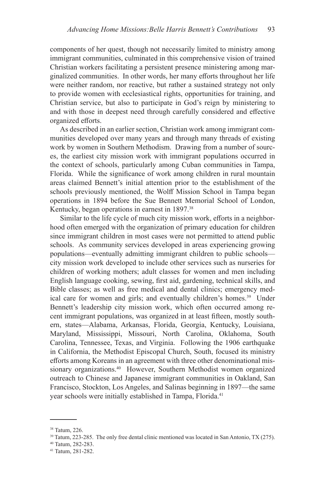components of her quest, though not necessarily limited to ministry among immigrant communities, culminated in this comprehensive vision of trained Christian workers facilitating a persistent presence ministering among marginalized communities. In other words, her many efforts throughout her life were neither random, nor reactive, but rather a sustained strategy not only to provide women with ecclesiastical rights, opportunities for training, and Christian service, but also to participate in God's reign by ministering to and with those in deepest need through carefully considered and effective organized efforts.

As described in an earlier section, Christian work among immigrant communities developed over many years and through many threads of existing work by women in Southern Methodism. Drawing from a number of sources, the earliest city mission work with immigrant populations occurred in the context of schools, particularly among Cuban communities in Tampa, Florida. While the significance of work among children in rural mountain areas claimed Bennett's initial attention prior to the establishment of the schools previously mentioned, the Wolff Mission School in Tampa began operations in 1894 before the Sue Bennett Memorial School of London, Kentucky, began operations in earnest in 1897.<sup>38</sup>

Similar to the life cycle of much city mission work, efforts in a neighborhood often emerged with the organization of primary education for children since immigrant children in most cases were not permitted to attend public schools. As community services developed in areas experiencing growing populations—eventually admitting immigrant children to public schools city mission work developed to include other services such as nurseries for children of working mothers; adult classes for women and men including English language cooking, sewing, first aid, gardening, technical skills, and Bible classes; as well as free medical and dental clinics; emergency medical care for women and girls; and eventually children's homes.<sup>39</sup> Under Bennett's leadership city mission work, which often occurred among recent immigrant populations, was organized in at least fifteen, mostly southern, states—Alabama, Arkansas, Florida, Georgia, Kentucky, Louisiana, Maryland, Mississippi, Missouri, North Carolina, Oklahoma, South Carolina, Tennessee, Texas, and Virginia. Following the 1906 earthquake in California, the Methodist Episcopal Church, South, focused its ministry efforts among Koreans in an agreement with three other denominational missionary organizations.<sup>40</sup> However, Southern Methodist women organized outreach to Chinese and Japanese immigrant communities in Oakland, San Francisco, Stockton, Los Angeles, and Salinas beginning in 1897—the same year schools were initially established in Tampa, Florida.41

<sup>38</sup> Tatum, 226.

<sup>39</sup> Tatum, 223-285. The only free dental clinic mentioned was located in San Antonio, TX (275).

<sup>40</sup> Tatum, 282-283.

<sup>41</sup> Tatum, 281-282.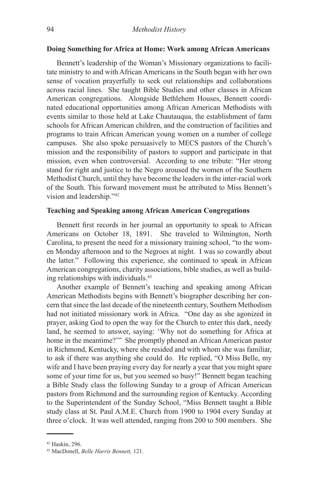### **Doing Something for Africa at Home: Work among African Americans**

Bennett's leadership of the Woman's Missionary organizations to facilitate ministry to and with African Americans in the South began with her own sense of vocation prayerfully to seek out relationships and collaborations across racial lines. She taught Bible Studies and other classes in African American congregations. Alongside Bethlehem Houses, Bennett coordinated educational opportunities among African American Methodists with events similar to those held at Lake Chautauqua, the establishment of farm schools for African American children, and the construction of facilities and programs to train African American young women on a number of college campuses. She also spoke persuasively to MECS pastors of the Church's mission and the responsibility of pastors to support and participate in that mission, even when controversial. According to one tribute: "Her strong stand for right and justice to the Negro aroused the women of the Southern Methodist Church, until they have become the leaders in the inter-racial work of the South. This forward movement must be attributed to Miss Bennett's vision and leadership."42

#### **Teaching and Speaking among African American Congregations**

Bennett first records in her journal an opportunity to speak to African Americans on October 18, 1891. She traveled to Wilmington, North Carolina, to present the need for a missionary training school, "to the women Monday afternoon and to the Negroes at night. I was so cowardly about the latter." Following this experience, she continued to speak in African American congregations, charity associations, bible studies, as well as building relationships with individuals.43

Another example of Bennett's teaching and speaking among African American Methodists begins with Bennett's biographer describing her concern that since the last decade of the nineteenth century, Southern Methodism had not initiated missionary work in Africa. "One day as she agonized in prayer, asking God to open the way for the Church to enter this dark, needy land, he seemed to answer, saying: 'Why not do something for Africa at home in the meantime?'" She promptly phoned an African American pastor in Richmond, Kentucky, where she resided and with whom she was familiar, to ask if there was anything she could do. He replied, "O Miss Belle, my wife and I have been praying every day for nearly a year that you might spare some of your time for us, but you seemed so busy!" Bennett began teaching a Bible Study class the following Sunday to a group of African American pastors from Richmond and the surrounding region of Kentucky. According to the Superintendent of the Sunday School, "Miss Bennett taught a Bible study class at St. Paul A.M.E. Church from 1900 to 1904 every Sunday at three o'clock. It was well attended, ranging from 200 to 500 members. She

<sup>42</sup> Haskin, 296.

<sup>43</sup> MacDonell, *Belle Harris Bennett,* 121.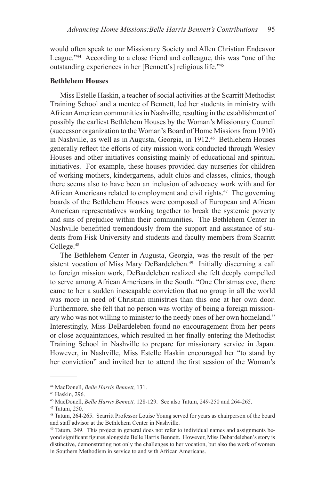would often speak to our Missionary Society and Allen Christian Endeavor League."44 According to a close friend and colleague, this was "one of the outstanding experiences in her [Bennett's] religious life."45

## **Bethlehem Houses**

Miss Estelle Haskin, a teacher of social activities at the Scarritt Methodist Training School and a mentee of Bennett, led her students in ministry with African American communities in Nashville, resulting in the establishment of possibly the earliest Bethlehem Houses by the Woman's Missionary Council (successor organization to the Woman's Board of Home Missions from 1910) in Nashville, as well as in Augusta, Georgia, in 1912.<sup>46</sup> Bethlehem Houses generally reflect the efforts of city mission work conducted through Wesley Houses and other initiatives consisting mainly of educational and spiritual initiatives. For example, these houses provided day nurseries for children of working mothers, kindergartens, adult clubs and classes, clinics, though there seems also to have been an inclusion of advocacy work with and for African Americans related to employment and civil rights.<sup>47</sup> The governing boards of the Bethlehem Houses were composed of European and African American representatives working together to break the systemic poverty and sins of prejudice within their communities. The Bethlehem Center in Nashville benefitted tremendously from the support and assistance of students from Fisk University and students and faculty members from Scarritt College.48

The Bethlehem Center in Augusta, Georgia, was the result of the persistent vocation of Miss Mary DeBardeleben.<sup>49</sup> Initially discerning a call to foreign mission work, DeBardeleben realized she felt deeply compelled to serve among African Americans in the South. "One Christmas eve, there came to her a sudden inescapable conviction that no group in all the world was more in need of Christian ministries than this one at her own door. Furthermore, she felt that no person was worthy of being a foreign missionary who was not willing to minister to the needy ones of her own homeland." Interestingly, Miss DeBardeleben found no encouragement from her peers or close acquaintances, which resulted in her finally entering the Methodist Training School in Nashville to prepare for missionary service in Japan. However, in Nashville, Miss Estelle Haskin encouraged her "to stand by her conviction" and invited her to attend the first session of the Woman's

<sup>44</sup> MacDonell, *Belle Harris Bennett,* 131.

<sup>45</sup> Haskin, 296.

<sup>46</sup> MacDonell, *Belle Harris Bennett,* 128-129. See also Tatum, 249-250 and 264-265.

<sup>47</sup> Tatum, 250.

<sup>48</sup> Tatum, 264-265. Scarritt Professor Louise Young served for years as chairperson of the board and staff advisor at the Bethlehem Center in Nashville.

<sup>49</sup> Tatum, 249. This project in general does not refer to individual names and assignments beyond significant figures alongside Belle Harris Bennett. However, Miss Debardeleben's story is distinctive, demonstrating not only the challenges to her vocation, but also the work of women in Southern Methodism in service to and with African Americans.